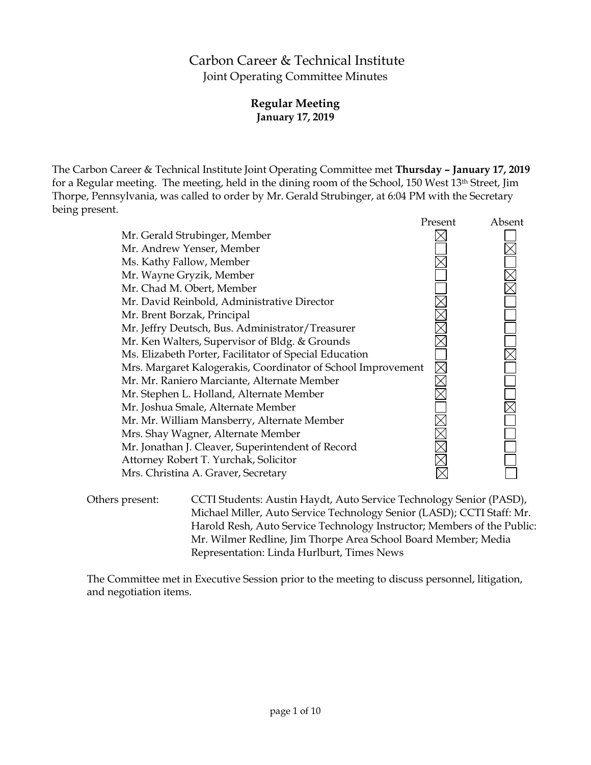# Carbon Career & Technical Institute Joint Operating Committee Minutes

# **Regular Meeting January 17, 2019**

The Carbon Career & Technical Institute Joint Operating Committee met **Thursday – January 17, 2019** for a Regular meeting. The meeting, held in the dining room of the School, 150 West 13th Street, Jim Thorpe, Pennsylvania, was called to order by Mr. Gerald Strubinger, at 6:04 PM with the Secretary being present.

|                                                              | Present | Absent |
|--------------------------------------------------------------|---------|--------|
| Mr. Gerald Strubinger, Member                                |         |        |
| Mr. Andrew Yenser, Member                                    |         |        |
| Ms. Kathy Fallow, Member                                     |         |        |
| Mr. Wayne Gryzik, Member                                     |         |        |
| Mr. Chad M. Obert, Member                                    |         |        |
| Mr. David Reinbold, Administrative Director                  |         |        |
| Mr. Brent Borzak, Principal                                  |         |        |
| Mr. Jeffry Deutsch, Bus. Administrator/Treasurer             |         |        |
| Mr. Ken Walters, Supervisor of Bldg. & Grounds               |         |        |
| Ms. Elizabeth Porter, Facilitator of Special Education       |         |        |
| Mrs. Margaret Kalogerakis, Coordinator of School Improvement |         |        |
| Mr. Mr. Raniero Marciante, Alternate Member                  |         |        |
| Mr. Stephen L. Holland, Alternate Member                     |         |        |
| Mr. Joshua Smale, Alternate Member                           |         |        |
| Mr. Mr. William Mansberry, Alternate Member                  |         |        |
| Mrs. Shay Wagner, Alternate Member                           |         |        |
| Mr. Jonathan J. Cleaver, Superintendent of Record            |         |        |
| Attorney Robert T. Yurchak, Solicitor                        |         |        |
| Mrs. Christina A. Graver, Secretary                          |         |        |
|                                                              |         |        |

Others present: CCTI Students: Austin Haydt, Auto Service Technology Senior (PASD), Michael Miller, Auto Service Technology Senior (LASD); CCTI Staff: Mr. Harold Resh, Auto Service Technology Instructor; Members of the Public: Mr. Wilmer Redline, Jim Thorpe Area School Board Member; Media Representation: Linda Hurlburt, Times News

The Committee met in Executive Session prior to the meeting to discuss personnel, litigation, and negotiation items.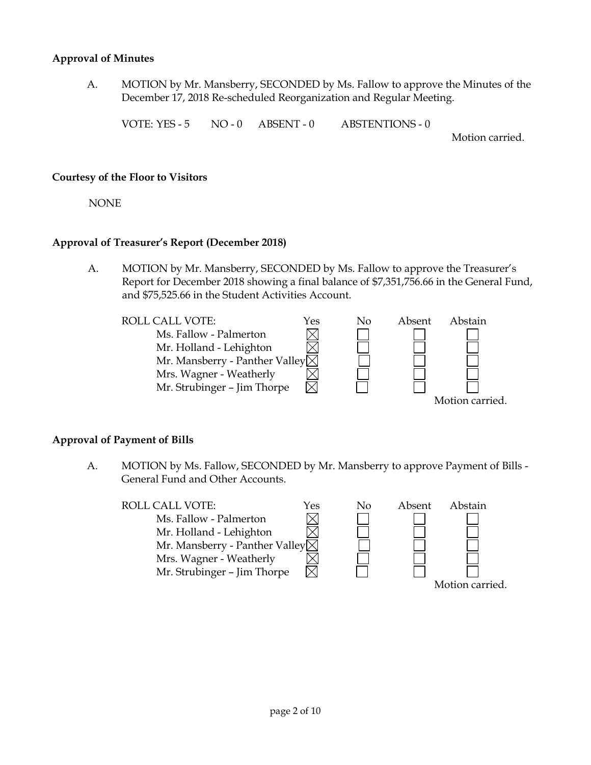#### **Approval of Minutes**

A. MOTION by Mr. Mansberry, SECONDED by Ms. Fallow to approve the Minutes of the December 17, 2018 Re-scheduled Reorganization and Regular Meeting.

VOTE: YES - 5 NO - 0 ABSENT - 0 ABSTENTIONS - 0

Motion carried.

#### **Courtesy of the Floor to Visitors**

NONE

#### **Approval of Treasurer's Report (December 2018)**

A. MOTION by Mr. Mansberry, SECONDED by Ms. Fallow to approve the Treasurer's Report for December 2018 showing a final balance of \$7,351,756.66 in the General Fund, and \$75,525.66 in the Student Activities Account.

ROLL CALL VOTE:  $Y$ es No Absent Abstain Ms. Fallow - Palmerton  $\boxtimes$ Mr. Holland - Lehighton Mr. Mansberry - Panther Valley $\times$ Mrs. Wagner - Weatherly Mr. Strubinger – Jim Thorpe Motion carried.

#### **Approval of Payment of Bills**

A. MOTION by Ms. Fallow, SECONDED by Mr. Mansberry to approve Payment of Bills - General Fund and Other Accounts.

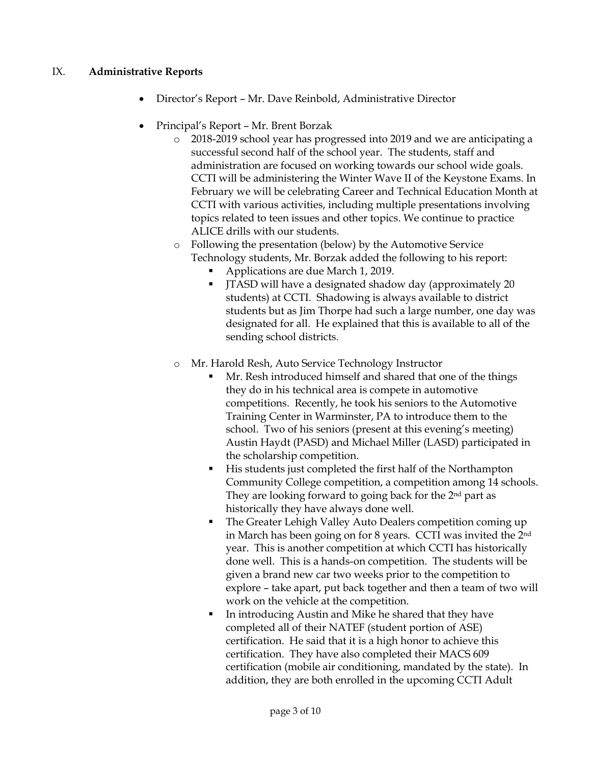# IX. **Administrative Reports**

- Director's Report Mr. Dave Reinbold, Administrative Director
- Principal's Report Mr. Brent Borzak
	- o 2018-2019 school year has progressed into 2019 and we are anticipating a successful second half of the school year. The students, staff and administration are focused on working towards our school wide goals. CCTI will be administering the Winter Wave II of the Keystone Exams. In February we will be celebrating Career and Technical Education Month at CCTI with various activities, including multiple presentations involving topics related to teen issues and other topics. We continue to practice ALICE drills with our students.
	- o Following the presentation (below) by the Automotive Service Technology students, Mr. Borzak added the following to his report:
		- Applications are due March 1, 2019.
		- JTASD will have a designated shadow day (approximately 20 students) at CCTI. Shadowing is always available to district students but as Jim Thorpe had such a large number, one day was designated for all. He explained that this is available to all of the sending school districts.
	- o Mr. Harold Resh, Auto Service Technology Instructor
		- Mr. Resh introduced himself and shared that one of the things they do in his technical area is compete in automotive competitions. Recently, he took his seniors to the Automotive Training Center in Warminster, PA to introduce them to the school. Two of his seniors (present at this evening's meeting) Austin Haydt (PASD) and Michael Miller (LASD) participated in the scholarship competition.
		- His students just completed the first half of the Northampton Community College competition, a competition among 14 schools. They are looking forward to going back for the 2nd part as historically they have always done well.
		- The Greater Lehigh Valley Auto Dealers competition coming up in March has been going on for 8 years. CCTI was invited the 2nd year. This is another competition at which CCTI has historically done well. This is a hands-on competition. The students will be given a brand new car two weeks prior to the competition to explore – take apart, put back together and then a team of two will work on the vehicle at the competition.
		- In introducing Austin and Mike he shared that they have completed all of their NATEF (student portion of ASE) certification. He said that it is a high honor to achieve this certification. They have also completed their MACS 609 certification (mobile air conditioning, mandated by the state). In addition, they are both enrolled in the upcoming CCTI Adult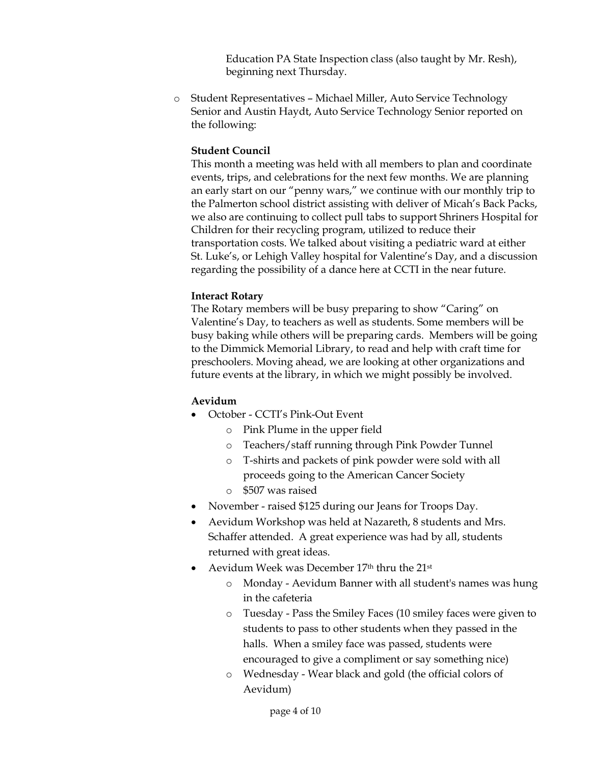Education PA State Inspection class (also taught by Mr. Resh), beginning next Thursday.

o Student Representatives – Michael Miller, Auto Service Technology Senior and Austin Haydt, Auto Service Technology Senior reported on the following:

# **Student Council**

This month a meeting was held with all members to plan and coordinate events, trips, and celebrations for the next few months. We are planning an early start on our "penny wars," we continue with our monthly trip to the Palmerton school district assisting with deliver of Micah's Back Packs, we also are continuing to collect pull tabs to support Shriners Hospital for Children for their recycling program, utilized to reduce their transportation costs. We talked about visiting a pediatric ward at either St. Luke's, or Lehigh Valley hospital for Valentine's Day, and a discussion regarding the possibility of a dance here at CCTI in the near future.

# **Interact Rotary**

The Rotary members will be busy preparing to show "Caring" on Valentine's Day, to teachers as well as students. Some members will be busy baking while others will be preparing cards. Members will be going to the Dimmick Memorial Library, to read and help with craft time for preschoolers. Moving ahead, we are looking at other organizations and future events at the library, in which we might possibly be involved.

# **Aevidum**

- October CCTI's Pink-Out Event
	- o Pink Plume in the upper field
	- o Teachers/staff running through Pink Powder Tunnel
	- o T-shirts and packets of pink powder were sold with all proceeds going to the American Cancer Society
	- o \$507 was raised
- November raised \$125 during our Jeans for Troops Day.
- Aevidum Workshop was held at Nazareth, 8 students and Mrs. Schaffer attended. A great experience was had by all, students returned with great ideas.
- Aevidum Week was December 17<sup>th</sup> thru the 21<sup>st</sup>
	- o Monday Aevidum Banner with all student's names was hung in the cafeteria
	- o Tuesday Pass the Smiley Faces (10 smiley faces were given to students to pass to other students when they passed in the halls. When a smiley face was passed, students were encouraged to give a compliment or say something nice)
	- o Wednesday Wear black and gold (the official colors of Aevidum)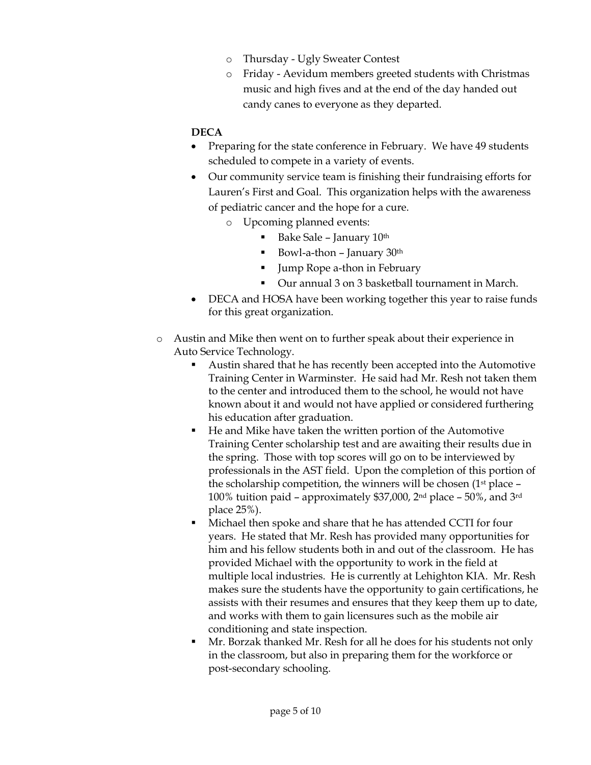- o Thursday Ugly Sweater Contest
- o Friday Aevidum members greeted students with Christmas music and high fives and at the end of the day handed out candy canes to everyone as they departed.

# **DECA**

- Preparing for the state conference in February. We have 49 students scheduled to compete in a variety of events.
- Our community service team is finishing their fundraising efforts for Lauren's First and Goal. This organization helps with the awareness of pediatric cancer and the hope for a cure.
	- o Upcoming planned events:
		- Bake Sale January  $10<sup>th</sup>$
		- Bowl-a-thon January  $30<sup>th</sup>$
		- **Jump Rope a-thon in February**
		- Our annual 3 on 3 basketball tournament in March.
- DECA and HOSA have been working together this year to raise funds for this great organization.
- o Austin and Mike then went on to further speak about their experience in Auto Service Technology.
	- Austin shared that he has recently been accepted into the Automotive Training Center in Warminster. He said had Mr. Resh not taken them to the center and introduced them to the school, he would not have known about it and would not have applied or considered furthering his education after graduation.
	- He and Mike have taken the written portion of the Automotive Training Center scholarship test and are awaiting their results due in the spring. Those with top scores will go on to be interviewed by professionals in the AST field. Upon the completion of this portion of the scholarship competition, the winners will be chosen  $(1<sup>st</sup>$  place  $-$ 100% tuition paid – approximately \$37,000, 2nd place – 50%, and 3rd place 25%).
	- Michael then spoke and share that he has attended CCTI for four years. He stated that Mr. Resh has provided many opportunities for him and his fellow students both in and out of the classroom. He has provided Michael with the opportunity to work in the field at multiple local industries. He is currently at Lehighton KIA. Mr. Resh makes sure the students have the opportunity to gain certifications, he assists with their resumes and ensures that they keep them up to date, and works with them to gain licensures such as the mobile air conditioning and state inspection.
	- Mr. Borzak thanked Mr. Resh for all he does for his students not only in the classroom, but also in preparing them for the workforce or post-secondary schooling.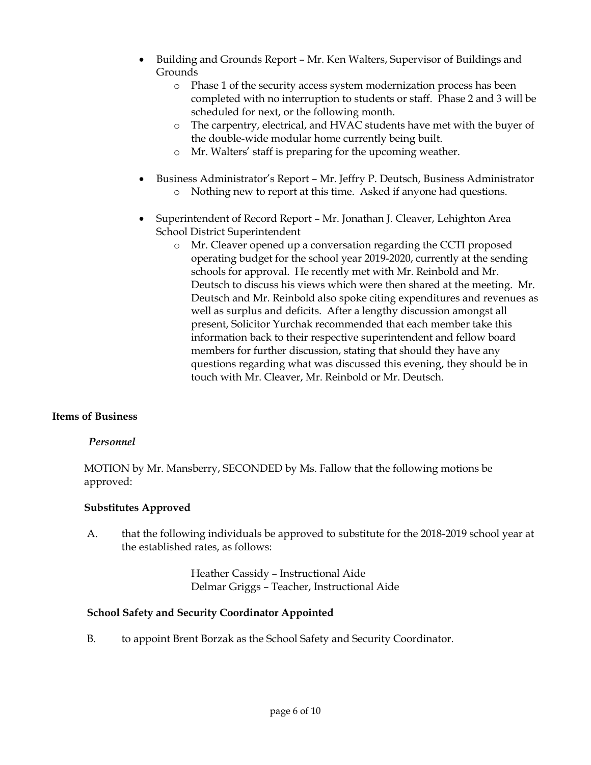- Building and Grounds Report Mr. Ken Walters, Supervisor of Buildings and Grounds
	- o Phase 1 of the security access system modernization process has been completed with no interruption to students or staff. Phase 2 and 3 will be scheduled for next, or the following month.
	- o The carpentry, electrical, and HVAC students have met with the buyer of the double-wide modular home currently being built.
	- o Mr. Walters' staff is preparing for the upcoming weather.
- Business Administrator's Report Mr. Jeffry P. Deutsch, Business Administrator o Nothing new to report at this time. Asked if anyone had questions.
- Superintendent of Record Report Mr. Jonathan J. Cleaver, Lehighton Area School District Superintendent
	- o Mr. Cleaver opened up a conversation regarding the CCTI proposed operating budget for the school year 2019-2020, currently at the sending schools for approval. He recently met with Mr. Reinbold and Mr. Deutsch to discuss his views which were then shared at the meeting. Mr. Deutsch and Mr. Reinbold also spoke citing expenditures and revenues as well as surplus and deficits. After a lengthy discussion amongst all present, Solicitor Yurchak recommended that each member take this information back to their respective superintendent and fellow board members for further discussion, stating that should they have any questions regarding what was discussed this evening, they should be in touch with Mr. Cleaver, Mr. Reinbold or Mr. Deutsch.

# **Items of Business**

### *Personnel*

MOTION by Mr. Mansberry, SECONDED by Ms. Fallow that the following motions be approved:

### **Substitutes Approved**

A. that the following individuals be approved to substitute for the 2018-2019 school year at the established rates, as follows:

> Heather Cassidy – Instructional Aide Delmar Griggs – Teacher, Instructional Aide

### **School Safety and Security Coordinator Appointed**

B. to appoint Brent Borzak as the School Safety and Security Coordinator.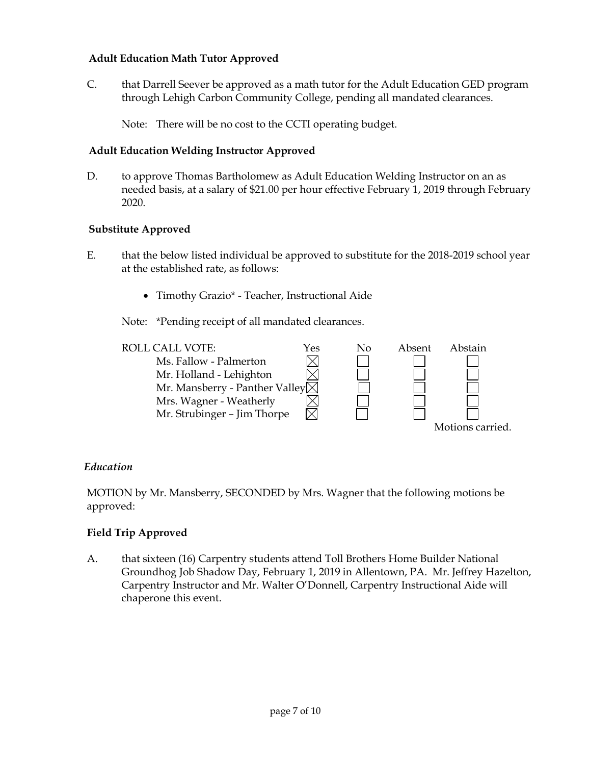# **Adult Education Math Tutor Approved**

C. that Darrell Seever be approved as a math tutor for the Adult Education GED program through Lehigh Carbon Community College, pending all mandated clearances.

Note: There will be no cost to the CCTI operating budget.

# **Adult Education Welding Instructor Approved**

D. to approve Thomas Bartholomew as Adult Education Welding Instructor on an as needed basis, at a salary of \$21.00 per hour effective February 1, 2019 through February 2020.

# **Substitute Approved**

- E. that the below listed individual be approved to substitute for the 2018-2019 school year at the established rate, as follows:
	- Timothy Grazio\* Teacher, Instructional Aide

Note: \*Pending receipt of all mandated clearances.



### *Education*

MOTION by Mr. Mansberry, SECONDED by Mrs. Wagner that the following motions be approved:

# **Field Trip Approved**

A. that sixteen (16) Carpentry students attend Toll Brothers Home Builder National Groundhog Job Shadow Day, February 1, 2019 in Allentown, PA. Mr. Jeffrey Hazelton, Carpentry Instructor and Mr. Walter O'Donnell, Carpentry Instructional Aide will chaperone this event.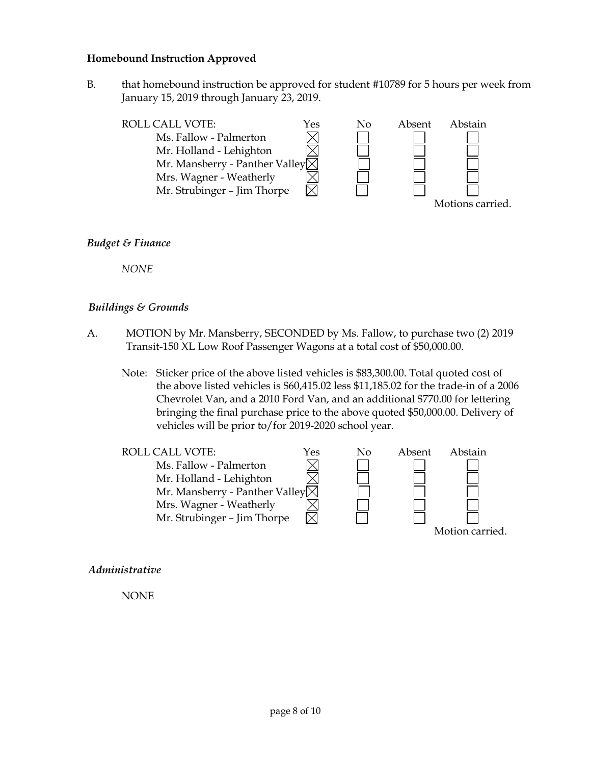#### **Homebound Instruction Approved**

B. that homebound instruction be approved for student #10789 for 5 hours per week from January 15, 2019 through January 23, 2019.



#### *Budget & Finance*

*NONE*

#### *Buildings & Grounds*

- A. MOTION by Mr. Mansberry, SECONDED by Ms. Fallow, to purchase two (2) 2019 Transit-150 XL Low Roof Passenger Wagons at a total cost of \$50,000.00.
	- Note: Sticker price of the above listed vehicles is \$83,300.00. Total quoted cost of the above listed vehicles is \$60,415.02 less \$11,185.02 for the trade-in of a 2006 Chevrolet Van, and a 2010 Ford Van, and an additional \$770.00 for lettering bringing the final purchase price to the above quoted \$50,000.00. Delivery of vehicles will be prior to/for 2019-2020 school year.



*Administrative*

NONE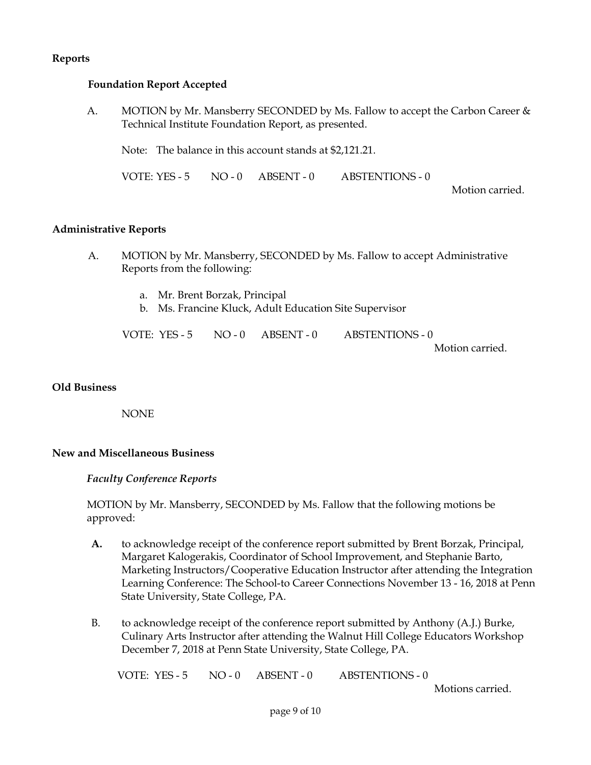# **Reports**

#### **Foundation Report Accepted**

A. MOTION by Mr. Mansberry SECONDED by Ms. Fallow to accept the Carbon Career & Technical Institute Foundation Report, as presented.

Note: The balance in this account stands at \$2,121.21.

VOTE: YES - 5 NO - 0 ABSENT - 0 ABSTENTIONS - 0

Motion carried.

#### **Administrative Reports**

- A. MOTION by Mr. Mansberry, SECONDED by Ms. Fallow to accept Administrative Reports from the following:
	- a. Mr. Brent Borzak, Principal
	- b. Ms. Francine Kluck, Adult Education Site Supervisor

VOTE: YES - 5 NO - 0 ABSENT - 0 ABSTENTIONS - 0 Motion carried.

#### **Old Business**

NONE

### **New and Miscellaneous Business**

#### *Faculty Conference Reports*

MOTION by Mr. Mansberry, SECONDED by Ms. Fallow that the following motions be approved:

- **A.** to acknowledge receipt of the conference report submitted by Brent Borzak, Principal, Margaret Kalogerakis, Coordinator of School Improvement, and Stephanie Barto, Marketing Instructors/Cooperative Education Instructor after attending the Integration Learning Conference: The School-to Career Connections November 13 - 16, 2018 at Penn State University, State College, PA.
- B. to acknowledge receipt of the conference report submitted by Anthony (A.J.) Burke, Culinary Arts Instructor after attending the Walnut Hill College Educators Workshop December 7, 2018 at Penn State University, State College, PA.

VOTE: YES - 5 NO - 0 ABSENT - 0 ABSTENTIONS - 0

Motions carried.